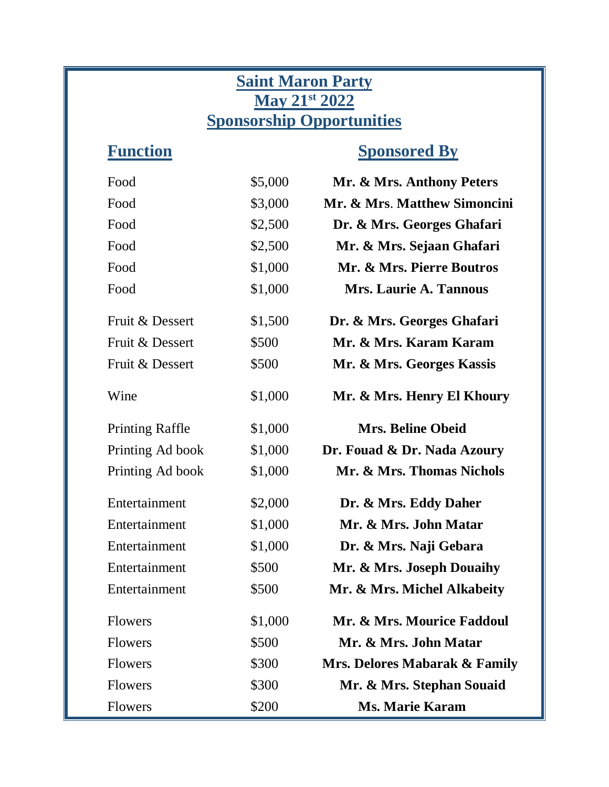## **Saint Maron Party May 21st 2022 Sponsorship Opportunities**

## **Function Sponsored By**

| Food                   | \$5,000 | Mr. & Mrs. Anthony Peters     |
|------------------------|---------|-------------------------------|
| Food                   | \$3,000 | Mr. & Mrs. Matthew Simoncini  |
| Food                   | \$2,500 | Dr. & Mrs. Georges Ghafari    |
| Food                   | \$2,500 | Mr. & Mrs. Sejaan Ghafari     |
| Food                   | \$1,000 | Mr. & Mrs. Pierre Boutros     |
| Food                   | \$1,000 | <b>Mrs. Laurie A. Tannous</b> |
| Fruit & Dessert        | \$1,500 | Dr. & Mrs. Georges Ghafari    |
| Fruit & Dessert        | \$500   | Mr. & Mrs. Karam Karam        |
| Fruit & Dessert        | \$500   | Mr. & Mrs. Georges Kassis     |
| Wine                   | \$1,000 | Mr. & Mrs. Henry El Khoury    |
| <b>Printing Raffle</b> | \$1,000 | <b>Mrs. Beline Obeid</b>      |
| Printing Ad book       | \$1,000 | Dr. Fouad & Dr. Nada Azoury   |
| Printing Ad book       | \$1,000 | Mr. & Mrs. Thomas Nichols     |
| Entertainment          | \$2,000 | Dr. & Mrs. Eddy Daher         |
| Entertainment          | \$1,000 | Mr. & Mrs. John Matar         |
| Entertainment          | \$1,000 | Dr. & Mrs. Naji Gebara        |
| Entertainment          | \$500   | Mr. & Mrs. Joseph Douaihy     |
| Entertainment          | \$500   | Mr. & Mrs. Michel Alkabeity   |
| <b>Flowers</b>         | \$1,000 | Mr. & Mrs. Mourice Faddoul    |
| <b>Flowers</b>         | \$500   | Mr. & Mrs. John Matar         |
| <b>Flowers</b>         | \$300   | Mrs. Delores Mabarak & Family |
| <b>Flowers</b>         | \$300   | Mr. & Mrs. Stephan Souaid     |
| <b>Flowers</b>         | \$200   | <b>Ms. Marie Karam</b>        |